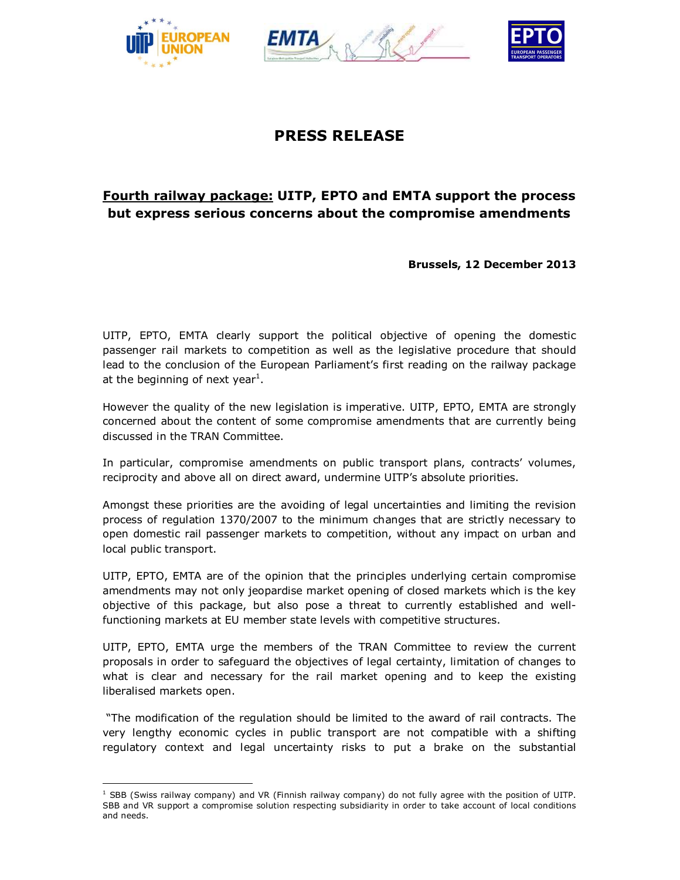





# **PRESS RELEASE**

## **Fourth railway package: UITP, EPTO and EMTA support the process but express serious concerns about the compromise amendments**

**Brussels, 12 December 2013**

UITP, EPTO, EMTA clearly support the political objective of opening the domestic passenger rail markets to competition as well as the legislative procedure that should lead to the conclusion of the European Parliament's first reading on the railway package at the beginning of next year<sup>1</sup>.

However the quality of the new legislation is imperative. UITP, EPTO, EMTA are strongly concerned about the content of some compromise amendments that are currently being discussed in the TRAN Committee.

In particular, compromise amendments on public transport plans, contracts' volumes, reciprocity and above all on direct award, undermine UITP's absolute priorities.

Amongst these priorities are the avoiding of legal uncertainties and limiting the revision process of regulation 1370/2007 to the minimum changes that are strictly necessary to open domestic rail passenger markets to competition, without any impact on urban and local public transport.

UITP, EPTO, EMTA are of the opinion that the principles underlying certain compromise amendments may not only jeopardise market opening of closed markets which is the key objective of this package, but also pose a threat to currently established and wellfunctioning markets at EU member state levels with competitive structures.

UITP, EPTO, EMTA urge the members of the TRAN Committee to review the current proposals in order to safeguard the objectives of legal certainty, limitation of changes to what is clear and necessary for the rail market opening and to keep the existing liberalised markets open.

"The modification of the regulation should be limited to the award of rail contracts. The very lengthy economic cycles in public transport are not compatible with a shifting regulatory context and legal uncertainty risks to put a brake on the substantial

 $\overline{a}$  $<sup>1</sup>$  SBB (Swiss railway company) and VR (Finnish railway company) do not fully agree with the position of UITP.</sup> SBB and VR support a compromise solution respecting subsidiarity in order to take account of local conditions and needs.